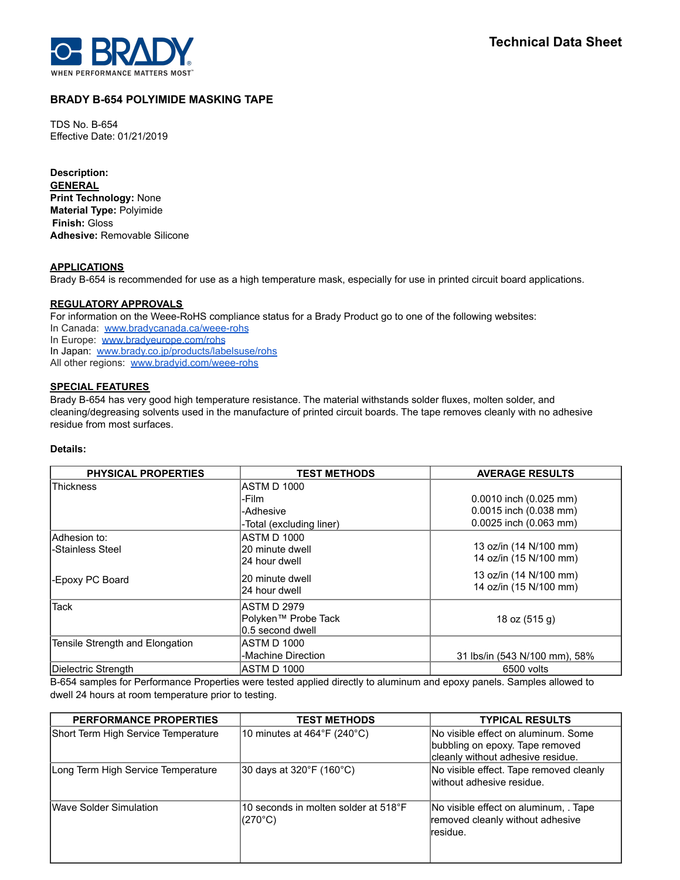

# **BRADY B-654 POLYIMIDE MASKING TAPE**

TDS No. B-654 Effective Date: 01/21/2019

**Description: GENERAL Print Technology:** None **Material Type:** Polyimide **Finish:** Gloss **Adhesive:** Removable Silicone

## **APPLICATIONS**

Brady B-654 is recommended for use as a high temperature mask, especially for use in printed circuit board applications.

### **REGULATORY APPROVALS**

For information on the Weee-RoHS compliance status for a Brady Product go to one of the following websites:

In Canada: [www.bradycanada.ca/weee-rohs](http://www.bradycanada.ca/weee-rohs)

In Europe: [www.bradyeurope.com/rohs](http://www.bradyeurope.com/rohs)

In Japan: www.[brady.co.jp/products/labelsuse/rohs](https://brady.co.jp/products/labelsuse/rohs)

All other regions: [www.bradyid.com/weee-rohs](http://www.bradyid.com/weee-rohs)

## **SPECIAL FEATURES**

Brady B-654 has very good high temperature resistance. The material withstands solder fluxes, molten solder, and cleaning/degreasing solvents used in the manufacture of printed circuit boards. The tape removes cleanly with no adhesive residue from most surfaces.

### **Details:**

| <b>PHYSICAL PROPERTIES</b>       | <b>TEST METHODS</b>                                     | <b>AVERAGE RESULTS</b>                           |
|----------------------------------|---------------------------------------------------------|--------------------------------------------------|
| <b>IThickness</b>                | ASTM D 1000                                             |                                                  |
|                                  | -Film                                                   | $0.0010$ inch $(0.025$ mm)                       |
|                                  | -Adhesive                                               | 0.0015 inch (0.038 mm)                           |
|                                  | -Total (excluding liner)                                | 0.0025 inch (0.063 mm)                           |
| Adhesion to:<br>-Stainless Steel | ASTM D 1000<br>20 minute dwell<br>24 hour dwell         | 13 oz/in (14 N/100 mm)<br>14 oz/in (15 N/100 mm) |
| -Epoxy PC Board                  | 20 minute dwell<br>124 hour dwell                       | 13 oz/in (14 N/100 mm)<br>14 oz/in (15 N/100 mm) |
| Tack                             | IASTM D 2979<br>Polyken™ Probe Tack<br>0.5 second dwell | 18 oz (515 g)                                    |
| Tensile Strength and Elongation  | ASTM D 1000<br>-Machine Direction                       | 31 lbs/in (543 N/100 mm), 58%                    |
| Dielectric Strength              | ASTM D 1000                                             | 6500 volts                                       |

B-654 samples for Performance Properties were tested applied directly to aluminum and epoxy panels. Samples allowed to dwell 24 hours at room temperature prior to testing.

| <b>PERFORMANCE PROPERTIES</b>       | <b>TEST METHODS</b>                             | <b>TYPICAL RESULTS</b>                                                                                       |
|-------------------------------------|-------------------------------------------------|--------------------------------------------------------------------------------------------------------------|
| Short Term High Service Temperature | 10 minutes at $464^{\circ}F(240^{\circ}C)$      | INo visible effect on aluminum. Some<br>bubbling on epoxy. Tape removed<br>cleanly without adhesive residue. |
| Long Term High Service Temperature  | 30 days at 320°F (160°C)                        | No visible effect. Tape removed cleanly<br>without adhesive residue.                                         |
| <b>IWave Solder Simulation</b>      | 10 seconds in molten solder at 518°F<br>(270°C) | No visible effect on aluminum, Tape<br>removed cleanly without adhesive<br>lresidue.                         |